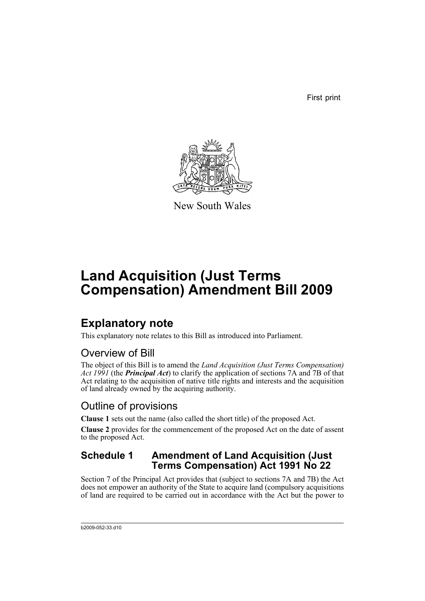First print



New South Wales

# **Land Acquisition (Just Terms Compensation) Amendment Bill 2009**

### **Explanatory note**

This explanatory note relates to this Bill as introduced into Parliament.

### Overview of Bill

The object of this Bill is to amend the *Land Acquisition (Just Terms Compensation) Act 1991* (the *Principal Act*) to clarify the application of sections 7A and 7B of that Act relating to the acquisition of native title rights and interests and the acquisition of land already owned by the acquiring authority.

### Outline of provisions

**Clause 1** sets out the name (also called the short title) of the proposed Act.

**Clause 2** provides for the commencement of the proposed Act on the date of assent to the proposed Act.

#### **Schedule 1 Amendment of Land Acquisition (Just Terms Compensation) Act 1991 No 22**

Section 7 of the Principal Act provides that (subject to sections 7A and 7B) the Act does not empower an authority of the State to acquire land (compulsory acquisitions of land are required to be carried out in accordance with the Act but the power to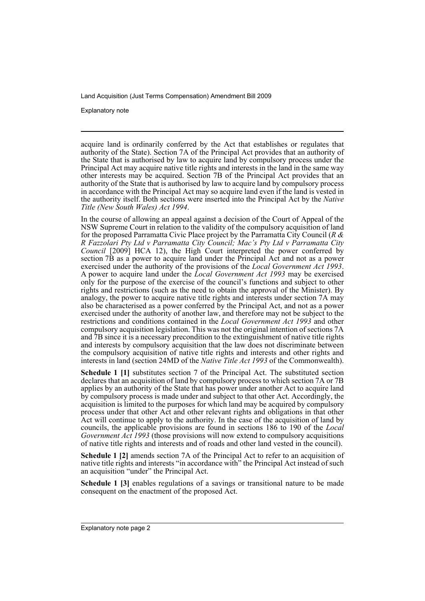Explanatory note

acquire land is ordinarily conferred by the Act that establishes or regulates that authority of the State). Section 7A of the Principal Act provides that an authority of the State that is authorised by law to acquire land by compulsory process under the Principal Act may acquire native title rights and interests in the land in the same way other interests may be acquired. Section 7B of the Principal Act provides that an authority of the State that is authorised by law to acquire land by compulsory process in accordance with the Principal Act may so acquire land even if the land is vested in the authority itself. Both sections were inserted into the Principal Act by the *Native Title (New South Wales) Act 1994*.

In the course of allowing an appeal against a decision of the Court of Appeal of the NSW Supreme Court in relation to the validity of the compulsory acquisition of land for the proposed Parramatta Civic Place project by the Parramatta City Council (*R & R Fazzolari Pty Ltd v Parramatta City Council; Mac's Pty Ltd v Parramatta City Council* [2009] HCA 12), the High Court interpreted the power conferred by section 7B as a power to acquire land under the Principal Act and not as a power exercised under the authority of the provisions of the *Local Government Act 1993*. A power to acquire land under the *Local Government Act 1993* may be exercised only for the purpose of the exercise of the council's functions and subject to other rights and restrictions (such as the need to obtain the approval of the Minister). By analogy, the power to acquire native title rights and interests under section 7A may also be characterised as a power conferred by the Principal Act, and not as a power exercised under the authority of another law, and therefore may not be subject to the restrictions and conditions contained in the *Local Government Act 1993* and other compulsory acquisition legislation. This was not the original intention of sections 7A and 7B since it is a necessary precondition to the extinguishment of native title rights and interests by compulsory acquisition that the law does not discriminate between the compulsory acquisition of native title rights and interests and other rights and interests in land (section 24MD of the *Native Title Act 1993* of the Commonwealth).

**Schedule 1 [1]** substitutes section 7 of the Principal Act. The substituted section declares that an acquisition of land by compulsory process to which section 7A or 7B applies by an authority of the State that has power under another Act to acquire land by compulsory process is made under and subject to that other Act. Accordingly, the acquisition is limited to the purposes for which land may be acquired by compulsory process under that other Act and other relevant rights and obligations in that other Act will continue to apply to the authority. In the case of the acquisition of land by councils, the applicable provisions are found in sections 186 to 190 of the *Local Government Act 1993* (those provisions will now extend to compulsory acquisitions of native title rights and interests and of roads and other land vested in the council).

**Schedule 1 [2]** amends section 7A of the Principal Act to refer to an acquisition of native title rights and interests "in accordance with" the Principal Act instead of such an acquisition "under" the Principal Act.

**Schedule 1 [3]** enables regulations of a savings or transitional nature to be made consequent on the enactment of the proposed Act.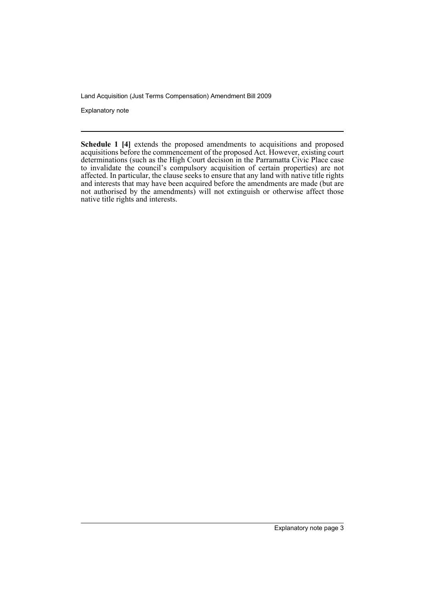Explanatory note

**Schedule 1 [4]** extends the proposed amendments to acquisitions and proposed acquisitions before the commencement of the proposed Act. However, existing court determinations (such as the High Court decision in the Parramatta Civic Place case to invalidate the council's compulsory acquisition of certain properties) are not affected. In particular, the clause seeks to ensure that any land with native title rights and interests that may have been acquired before the amendments are made (but are not authorised by the amendments) will not extinguish or otherwise affect those native title rights and interests.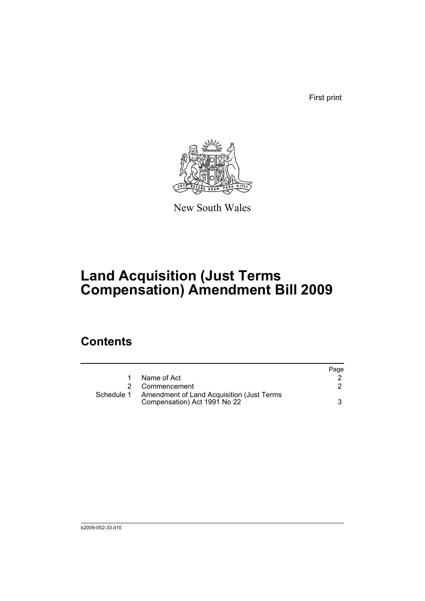First print



New South Wales

## **Land Acquisition (Just Terms Compensation) Amendment Bill 2009**

### **Contents**

|            |                                                                           | Page |
|------------|---------------------------------------------------------------------------|------|
|            | Name of Act                                                               |      |
|            | 2 Commencement                                                            |      |
| Schedule 1 | Amendment of Land Acquisition (Just Terms<br>Compensation) Act 1991 No 22 |      |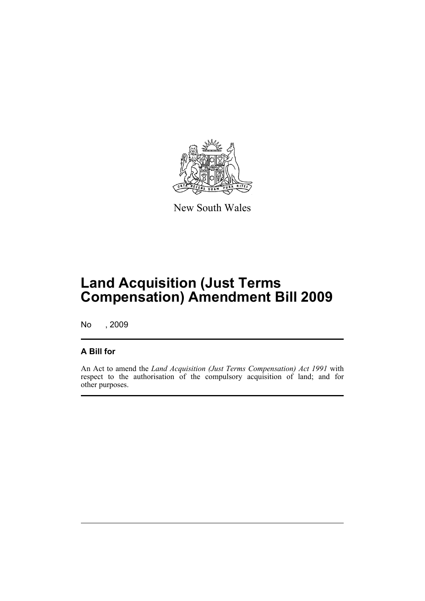

New South Wales

## **Land Acquisition (Just Terms Compensation) Amendment Bill 2009**

No , 2009

#### **A Bill for**

An Act to amend the *Land Acquisition (Just Terms Compensation) Act 1991* with respect to the authorisation of the compulsory acquisition of land; and for other purposes.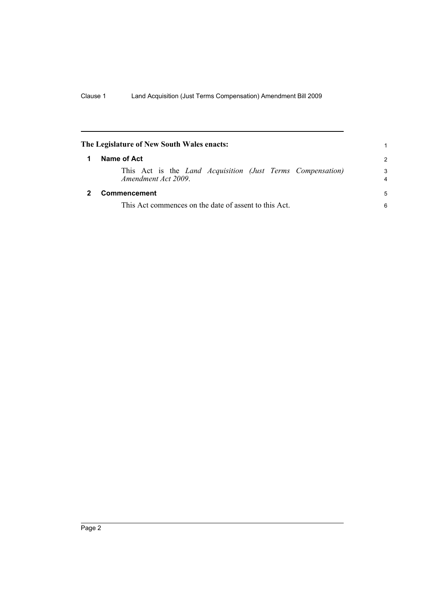<span id="page-7-1"></span><span id="page-7-0"></span>

|                  | The Legislature of New South Wales enacts:                                              |        |  |
|------------------|-----------------------------------------------------------------------------------------|--------|--|
| Name of Act<br>1 |                                                                                         |        |  |
|                  | This Act is the <i>Land Acquisition (Just Terms Compensation)</i><br>Amendment Act 2009 | 3<br>4 |  |
|                  | Commencement                                                                            | 5      |  |
|                  | This Act commences on the date of assent to this Act.                                   |        |  |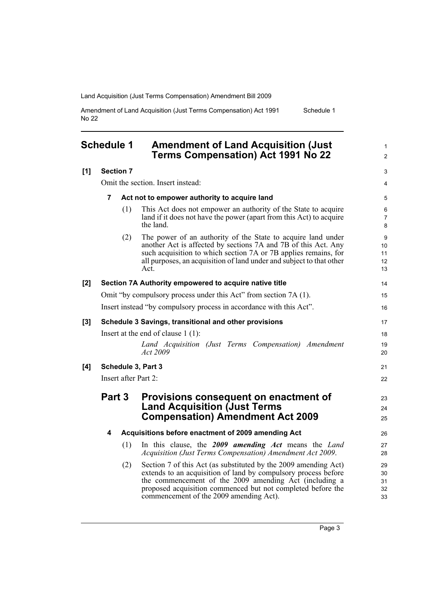Amendment of Land Acquisition (Just Terms Compensation) Act 1991 No 22 Schedule 1

<span id="page-8-0"></span>

|       | <b>Schedule 1</b>    |                                   | <b>Amendment of Land Acquisition (Just</b><br><b>Terms Compensation) Act 1991 No 22</b>                                                                                                                                                                                                               | $\mathbf{1}$<br>$\overline{2}$         |  |
|-------|----------------------|-----------------------------------|-------------------------------------------------------------------------------------------------------------------------------------------------------------------------------------------------------------------------------------------------------------------------------------------------------|----------------------------------------|--|
| [1]   |                      | <b>Section 7</b>                  |                                                                                                                                                                                                                                                                                                       | 3                                      |  |
|       |                      | Omit the section. Insert instead: |                                                                                                                                                                                                                                                                                                       |                                        |  |
|       | 7                    |                                   | Act not to empower authority to acquire land                                                                                                                                                                                                                                                          | 5                                      |  |
|       |                      | (1)                               | This Act does not empower an authority of the State to acquire<br>land if it does not have the power (apart from this Act) to acquire<br>the land.                                                                                                                                                    | 6<br>$\overline{7}$<br>8               |  |
|       |                      | (2)                               | The power of an authority of the State to acquire land under<br>another Act is affected by sections 7A and 7B of this Act. Any<br>such acquisition to which section 7A or 7B applies remains, for<br>all purposes, an acquisition of land under and subject to that other<br>Act.                     | 9<br>10 <sup>°</sup><br>11<br>12<br>13 |  |
| [2]   |                      |                                   | Section 7A Authority empowered to acquire native title                                                                                                                                                                                                                                                | 14                                     |  |
|       |                      |                                   | Omit "by compulsory process under this Act" from section 7A (1).                                                                                                                                                                                                                                      | 15                                     |  |
|       |                      |                                   | Insert instead "by compulsory process in accordance with this Act".                                                                                                                                                                                                                                   | 16                                     |  |
| $[3]$ |                      |                                   | Schedule 3 Savings, transitional and other provisions                                                                                                                                                                                                                                                 | 17                                     |  |
|       |                      |                                   | Insert at the end of clause $1(1)$ :                                                                                                                                                                                                                                                                  | 18                                     |  |
|       |                      |                                   | Land Acquisition (Just Terms Compensation) Amendment<br>Act 2009                                                                                                                                                                                                                                      | 19<br>20                               |  |
| [4]   | Schedule 3, Part 3   |                                   | 21                                                                                                                                                                                                                                                                                                    |                                        |  |
|       | Insert after Part 2: |                                   |                                                                                                                                                                                                                                                                                                       |                                        |  |
|       | Part 3               |                                   | Provisions consequent on enactment of                                                                                                                                                                                                                                                                 | 23                                     |  |
|       |                      |                                   | <b>Land Acquisition (Just Terms</b>                                                                                                                                                                                                                                                                   | 24                                     |  |
|       |                      |                                   | <b>Compensation) Amendment Act 2009</b>                                                                                                                                                                                                                                                               | 25                                     |  |
|       | 4                    |                                   | Acquisitions before enactment of 2009 amending Act                                                                                                                                                                                                                                                    | 26                                     |  |
|       |                      | (1)                               | In this clause, the 2009 amending Act means the Land<br>Acquisition (Just Terms Compensation) Amendment Act 2009.                                                                                                                                                                                     | 27<br>28                               |  |
|       |                      | (2)                               | Section 7 of this Act (as substituted by the 2009 amending Act)<br>extends to an acquisition of land by compulsory process before<br>the commencement of the 2009 amending Act (including a<br>proposed acquisition commenced but not completed before the<br>commencement of the 2009 amending Act). | 29<br>30<br>31<br>32<br>33             |  |
|       |                      |                                   |                                                                                                                                                                                                                                                                                                       |                                        |  |